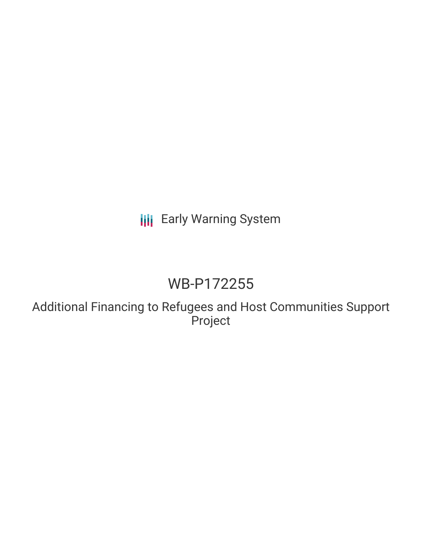# **III** Early Warning System

# WB-P172255

Additional Financing to Refugees and Host Communities Support Project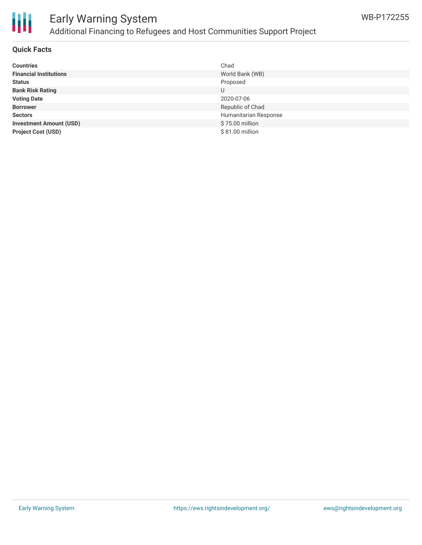

## Early Warning System Additional Financing to Refugees and Host Communities Support Project

#### **Quick Facts**

| <b>Countries</b>               | Chad                  |
|--------------------------------|-----------------------|
| <b>Financial Institutions</b>  | World Bank (WB)       |
| <b>Status</b>                  | Proposed              |
| <b>Bank Risk Rating</b>        | U                     |
| <b>Voting Date</b>             | 2020-07-06            |
| <b>Borrower</b>                | Republic of Chad      |
| <b>Sectors</b>                 | Humanitarian Response |
| <b>Investment Amount (USD)</b> | \$75.00 million       |
| <b>Project Cost (USD)</b>      | \$81.00 million       |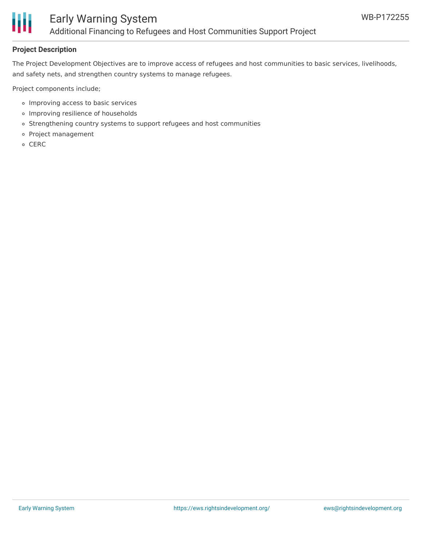

### Early Warning System Additional Financing to Refugees and Host Communities Support Project

### **Project Description**

The Project Development Objectives are to improve access of refugees and host communities to basic services, livelihoods, and safety nets, and strengthen country systems to manage refugees.

Project components include;

- Improving access to basic services
- Improving resilience of households
- o Strengthening country systems to support refugees and host communities
- Project management
- o CERC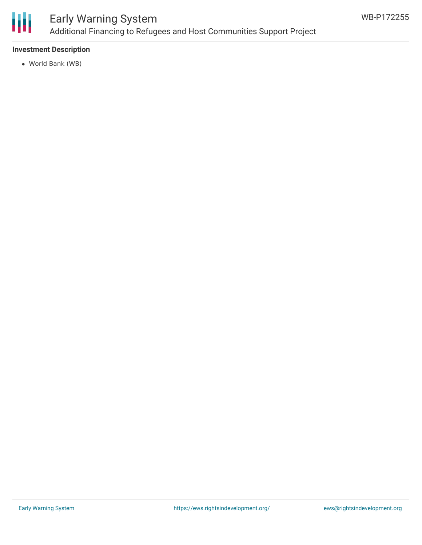

### Early Warning System Additional Financing to Refugees and Host Communities Support Project

### **Investment Description**

World Bank (WB)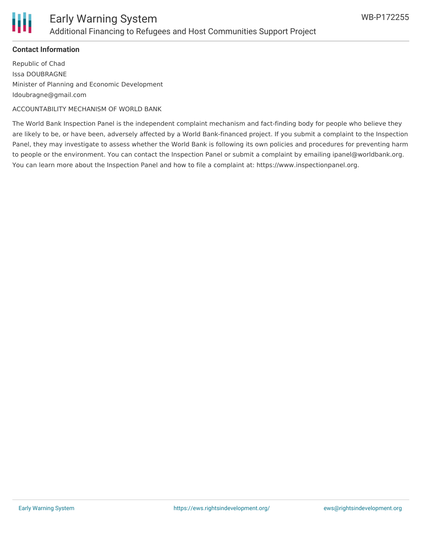

### **Contact Information**

Republic of Chad Issa DOUBRAGNE Minister of Planning and Economic Development Idoubragne@gmail.com

ACCOUNTABILITY MECHANISM OF WORLD BANK

The World Bank Inspection Panel is the independent complaint mechanism and fact-finding body for people who believe they are likely to be, or have been, adversely affected by a World Bank-financed project. If you submit a complaint to the Inspection Panel, they may investigate to assess whether the World Bank is following its own policies and procedures for preventing harm to people or the environment. You can contact the Inspection Panel or submit a complaint by emailing ipanel@worldbank.org. You can learn more about the Inspection Panel and how to file a complaint at: https://www.inspectionpanel.org.